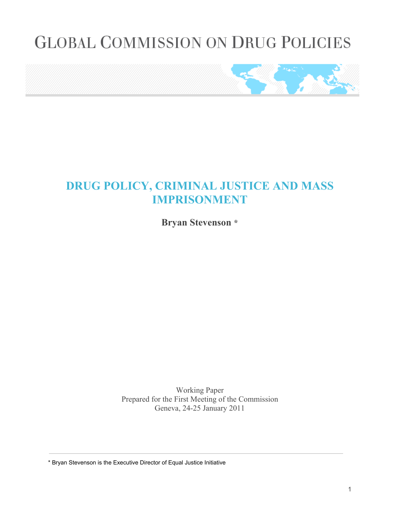# **GLOBAL COMMISSION ON DRUG POLICIES**



# DRUG POLICY, CRIMINAL JUSTICE AND MASS IMPRISONMENT

Bryan Stevenson \*

Working Paper Prepared for the First Meeting of the Commission Geneva, 24-25 January 2011

\* Bryan Stevenson is the Executive Director of Equal Justice Initiative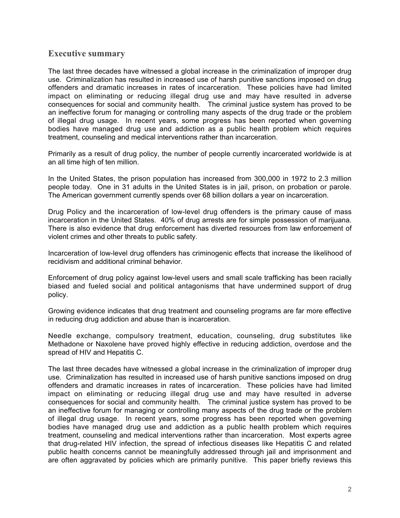# Executive summary

The last three decades have witnessed a global increase in the criminalization of improper drug use. Criminalization has resulted in increased use of harsh punitive sanctions imposed on drug offenders and dramatic increases in rates of incarceration. These policies have had limited impact on eliminating or reducing illegal drug use and may have resulted in adverse consequences for social and community health. The criminal justice system has proved to be an ineffective forum for managing or controlling many aspects of the drug trade or the problem of illegal drug usage. In recent years, some progress has been reported when governing bodies have managed drug use and addiction as a public health problem which requires treatment, counseling and medical interventions rather than incarceration.

Primarily as a result of drug policy, the number of people currently incarcerated worldwide is at an all time high of ten million.

In the United States, the prison population has increased from 300,000 in 1972 to 2.3 million people today. One in 31 adults in the United States is in jail, prison, on probation or parole. The American government currently spends over 68 billion dollars a year on incarceration.

Drug Policy and the incarceration of low-level drug offenders is the primary cause of mass incarceration in the United States. 40% of drug arrests are for simple possession of marijuana. There is also evidence that drug enforcement has diverted resources from law enforcement of violent crimes and other threats to public safety.

Incarceration of low-level drug offenders has criminogenic effects that increase the likelihood of recidivism and additional criminal behavior.

Enforcement of drug policy against low-level users and small scale trafficking has been racially biased and fueled social and political antagonisms that have undermined support of drug policy.

Growing evidence indicates that drug treatment and counseling programs are far more effective in reducing drug addiction and abuse than is incarceration.

Needle exchange, compulsory treatment, education, counseling, drug substitutes like Methadone or Naxolene have proved highly effective in reducing addiction, overdose and the spread of HIV and Hepatitis C.

The last three decades have witnessed a global increase in the criminalization of improper drug use. Criminalization has resulted in increased use of harsh punitive sanctions imposed on drug offenders and dramatic increases in rates of incarceration. These policies have had limited impact on eliminating or reducing illegal drug use and may have resulted in adverse consequences for social and community health. The criminal justice system has proved to be an ineffective forum for managing or controlling many aspects of the drug trade or the problem of illegal drug usage. In recent years, some progress has been reported when governing bodies have managed drug use and addiction as a public health problem which requires treatment, counseling and medical interventions rather than incarceration. Most experts agree that drug-related HIV infection, the spread of infectious diseases like Hepatitis C and related public health concerns cannot be meaningfully addressed through jail and imprisonment and are often aggravated by policies which are primarily punitive. This paper briefly reviews this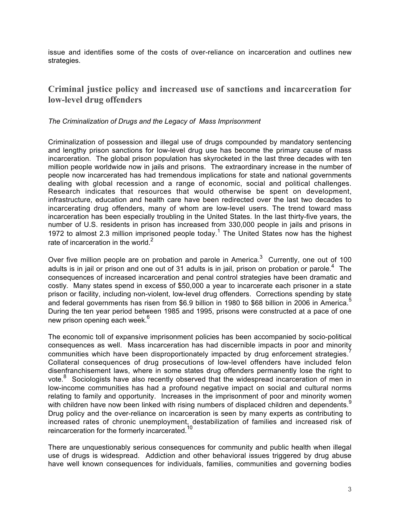issue and identifies some of the costs of over-reliance on incarceration and outlines new strategies.

# Criminal justice policy and increased use of sanctions and incarceration for low-level drug offenders

#### *The Criminalization of Drugs and the Legacy of Mass Imprisonment*

Criminalization of possession and illegal use of drugs compounded by mandatory sentencing and lengthy prison sanctions for low-level drug use has become the primary cause of mass incarceration. The global prison population has skyrocketed in the last three decades with ten million people worldwide now in jails and prisons. The extraordinary increase in the number of people now incarcerated has had tremendous implications for state and national governments dealing with global recession and a range of economic, social and political challenges. Research indicates that resources that would otherwise be spent on development, infrastructure, education and health care have been redirected over the last two decades to incarcerating drug offenders, many of whom are low-level users. The trend toward mass incarceration has been especially troubling in the United States. In the last thirty-five years, the number of U.S. residents in prison has increased from 330,000 people in jails and prisons in 1972 to almost 2.3 million imprisoned people today.<sup>1</sup> The United States now has the highest rate of incarceration in the world. $2^2$ 

Over five million people are on probation and parole in America. $3$  Currently, one out of 100 adults is in jail or prison and one out of 31 adults is in jail, prison on probation or parole.<sup>4</sup> The consequences of increased incarceration and penal control strategies have been dramatic and costly. Many states spend in excess of \$50,000 a year to incarcerate each prisoner in a state prison or facility, including non-violent, low-level drug offenders. Corrections spending by state and federal governments has risen from \$6.9 billion in 1980 to \$68 billion in 2006 in America.<sup>5</sup> During the ten year period between 1985 and 1995, prisons were constructed at a pace of one new prison opening each week.<sup>6</sup>

The economic toll of expansive imprisonment policies has been accompanied by socio-political consequences as well. Mass incarceration has had discernible impacts in poor and minority communities which have been disproportionately impacted by drug enforcement strategies.<sup>7</sup> Collateral consequences of drug prosecutions of low-level offenders have included felon disenfranchisement laws, where in some states drug offenders permanently lose the right to vote.<sup>8</sup> Sociologists have also recently observed that the widespread incarceration of men in low-income communities has had a profound negative impact on social and cultural norms relating to family and opportunity. Increases in the imprisonment of poor and minority women with children have now been linked with rising numbers of displaced children and dependents.<sup>9</sup> Drug policy and the over-reliance on incarceration is seen by many experts as contributing to increased rates of chronic unemployment, destabilization of families and increased risk of reincarceration for the formerly incarcerated.<sup>10</sup>

There are unquestionably serious consequences for community and public health when illegal use of drugs is widespread. Addiction and other behavioral issues triggered by drug abuse have well known consequences for individuals, families, communities and governing bodies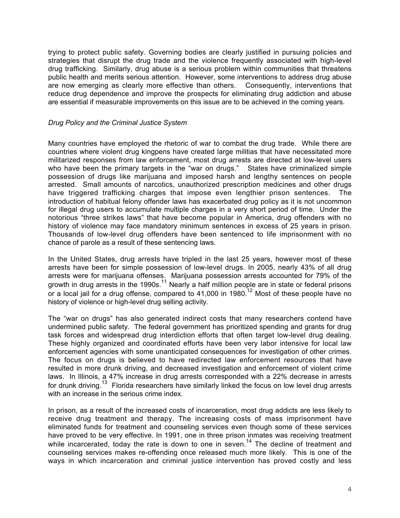trying to protect public safety. Governing bodies are clearly justified in pursuing policies and strategies that disrupt the drug trade and the violence frequently associated with high-level drug trafficking. Similarly, drug abuse is a serious problem within communities that threatens public health and merits serious attention. However, some interventions to address drug abuse are now emerging as clearly more effective than others. Consequently, interventions that reduce drug dependence and improve the prospects for eliminating drug addiction and abuse are essential if measurable improvements on this issue are to be achieved in the coming years.

#### *Drug Policy and the Criminal Justice System*

Many countries have employed the rhetoric of war to combat the drug trade. While there are countries where violent drug kingpens have created large militias that have necessitated more militarized responses from law enforcement, most drug arrests are directed at low-level users who have been the primary targets in the "war on drugs." States have criminalized simple possession of drugs like marijuana and imposed harsh and lengthy sentences on people arrested. Small amounts of narcotics, unauthorized prescription medicines and other drugs have triggered trafficking charges that impose even lengthier prison sentences. The introduction of habitual felony offender laws has exacerbated drug policy as it is not uncommon for illegal drug users to accumulate multiple charges in a very short period of time. Under the notorious "three strikes laws" that have become popular in America, drug offenders with no history of violence may face mandatory minimum sentences in excess of 25 years in prison. Thousands of low-level drug offenders have been sentenced to life imprisonment with no chance of parole as a result of these sentencing laws.

In the United States, drug arrests have tripled in the last 25 years, however most of these arrests have been for simple possession of low-level drugs. In 2005, nearly 43% of all drug arrests were for marijuana offenses. Marijuana possession arrests accounted for 79% of the growth in drug arrests in the 1990s.<sup>11</sup> Nearly a half million people are in state or federal prisons or a local jail for a drug offense, compared to 41,000 in 1980.<sup>12</sup> Most of these people have no history of violence or high-level drug selling activity.

The "war on drugs" has also generated indirect costs that many researchers contend have undermined public safety. The federal government has prioritized spending and grants for drug task forces and widespread drug interdiction efforts that often target low-level drug dealing. These highly organized and coordinated efforts have been very labor intensive for local law enforcement agencies with some unanticipated consequences for investigation of other crimes. The focus on drugs is believed to have redirected law enforcement resources that have resulted in more drunk driving, and decreased investigation and enforcement of violent crime laws. In Illinois, a 47% increase in drug arrests corresponded with a 22% decrease in arrests for drunk driving.<sup>13</sup> Florida researchers have similarly linked the focus on low level drug arrests with an increase in the serious crime index.

In prison, as a result of the increased costs of incarceration, most drug addicts are less likely to receive drug treatment and therapy. The increasing costs of mass imprisonment have eliminated funds for treatment and counseling services even though some of these services have proved to be very effective. In 1991, one in three prison inmates was receiving treatment while incarcerated, today the rate is down to one in seven.<sup>14</sup> The decline of treatment and counseling services makes re-offending once released much more likely. This is one of the ways in which incarceration and criminal justice intervention has proved costly and less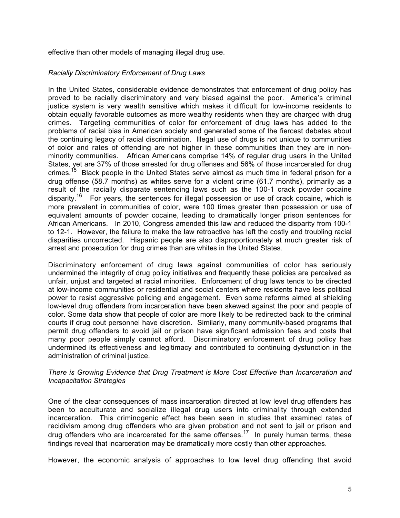effective than other models of managing illegal drug use.

#### *Racially Discriminatory Enforcement of Drug Laws*

In the United States, considerable evidence demonstrates that enforcement of drug policy has proved to be racially discriminatory and very biased against the poor. America's criminal justice system is very wealth sensitive which makes it difficult for low-income residents to obtain equally favorable outcomes as more wealthy residents when they are charged with drug crimes. Targeting communities of color for enforcement of drug laws has added to the problems of racial bias in American society and generated some of the fiercest debates about the continuing legacy of racial discrimination. Illegal use of drugs is not unique to communities of color and rates of offending are not higher in these communities than they are in nonminority communities. African Americans comprise 14% of regular drug users in the United States, yet are 37% of those arrested for drug offenses and 56% of those incarcerated for drug crimes.<sup>15</sup> Black people in the United States serve almost as much time in federal prison for a drug offense (58.7 months) as whites serve for a violent crime (61.7 months), primarily as a result of the racially disparate sentencing laws such as the 100-1 crack powder cocaine disparity.<sup>16</sup> For years, the sentences for illegal possession or use of crack cocaine, which is more prevalent in communities of color, were 100 times greater than possession or use of equivalent amounts of powder cocaine, leading to dramatically longer prison sentences for African Americans. In 2010, Congress amended this law and reduced the disparity from 100-1 to 12-1. However, the failure to make the law retroactive has left the costly and troubling racial disparities uncorrected. Hispanic people are also disproportionately at much greater risk of arrest and prosecution for drug crimes than are whites in the United States.

Discriminatory enforcement of drug laws against communities of color has seriously undermined the integrity of drug policy initiatives and frequently these policies are perceived as unfair, unjust and targeted at racial minorities. Enforcement of drug laws tends to be directed at low-income communities or residential and social centers where residents have less political power to resist aggressive policing and engagement. Even some reforms aimed at shielding low-level drug offenders from incarceration have been skewed against the poor and people of color. Some data show that people of color are more likely to be redirected back to the criminal courts if drug cout personnel have discretion. Similarly, many community-based programs that permit drug offenders to avoid jail or prison have significant admission fees and costs that many poor people simply cannot afford. Discriminatory enforcement of drug policy has undermined its effectiveness and legitimacy and contributed to continuing dysfunction in the administration of criminal justice.

#### *There is Growing Evidence that Drug Treatment is More Cost Effective than Incarceration and Incapacitation Strategies*

One of the clear consequences of mass incarceration directed at low level drug offenders has been to acculturate and socialize illegal drug users into criminality through extended incarceration. This criminogenic effect has been seen in studies that examined rates of recidivism among drug offenders who are given probation and not sent to jail or prison and drug offenders who are incarcerated for the same offenses.<sup>17</sup> In purely human terms, these findings reveal that incarceration may be dramatically more costly than other approaches.

However, the economic analysis of approaches to low level drug offending that avoid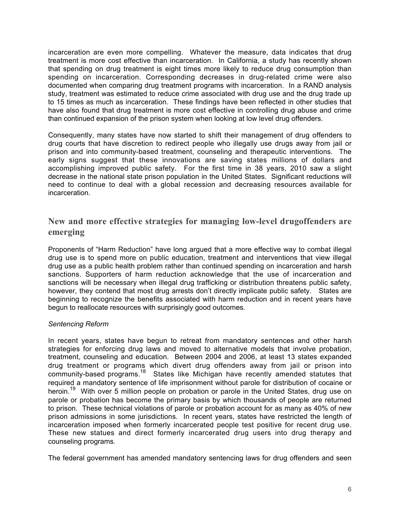incarceration are even more compelling. Whatever the measure, data indicates that drug treatment is more cost effective than incarceration. In California, a study has recently shown that spending on drug treatment is eight times more likely to reduce drug consumption than spending on incarceration. Corresponding decreases in drug-related crime were also documented when comparing drug treatment programs with incarceration. In a RAND analysis study, treatment was estimated to reduce crime associated with drug use and the drug trade up to 15 times as much as incarceration. These findings have been reflected in other studies that have also found that drug treatment is more cost effective in controlling drug abuse and crime than continued expansion of the prison system when looking at low level drug offenders.

Consequently, many states have now started to shift their management of drug offenders to drug courts that have discretion to redirect people who illegally use drugs away from jail or prison and into community-based treatment, counseling and therapeutic interventions. The early signs suggest that these innovations are saving states millions of dollars and accomplishing improved public safety. For the first time in 38 years, 2010 saw a slight decrease in the national state prison population in the United States. Significant reductions will need to continue to deal with a global recession and decreasing resources available for incarceration.

# New and more effective strategies for managing low-level drugoffenders are emerging

Proponents of "Harm Reduction" have long argued that a more effective way to combat illegal drug use is to spend more on public education, treatment and interventions that view illegal drug use as a public health problem rather than continued spending on incarceration and harsh sanctions. Supporters of harm reduction acknowledge that the use of incarceration and sanctions will be necessary when illegal drug trafficking or distribution threatens public safety, however, they contend that most drug arrests don't directly implicate public safety. States are beginning to recognize the benefits associated with harm reduction and in recent years have begun to reallocate resources with surprisingly good outcomes.

#### *Sentencing Reform*

In recent years, states have begun to retreat from mandatory sentences and other harsh strategies for enforcing drug laws and moved to alternative models that involve probation, treatment, counseling and education. Between 2004 and 2006, at least 13 states expanded drug treatment or programs which divert drug offenders away from jail or prison into community-based programs.<sup>18</sup> States like Michigan have recently amended statutes that required a mandatory sentence of life imprisonment without parole for distribution of cocaine or heroin.<sup>19</sup> With over 5 million people on probation or parole in the United States, drug use on parole or probation has become the primary basis by which thousands of people are returned to prison. These technical violations of parole or probation account for as many as 40% of new prison admissions in some jurisdictions. In recent years, states have restricted the length of incarceration imposed when formerly incarcerated people test positive for recent drug use. These new statues and direct formerly incarcerated drug users into drug therapy and counseling programs.

The federal government has amended mandatory sentencing laws for drug offenders and seen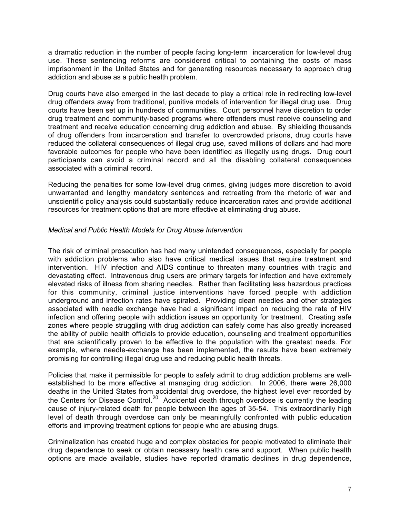a dramatic reduction in the number of people facing long-term incarceration for low-level drug use. These sentencing reforms are considered critical to containing the costs of mass imprisonment in the United States and for generating resources necessary to approach drug addiction and abuse as a public health problem.

Drug courts have also emerged in the last decade to play a critical role in redirecting low-level drug offenders away from traditional, punitive models of intervention for illegal drug use. Drug courts have been set up in hundreds of communities. Court personnel have discretion to order drug treatment and community-based programs where offenders must receive counseling and treatment and receive education concerning drug addiction and abuse. By shielding thousands of drug offenders from incarceration and transfer to overcrowded prisons, drug courts have reduced the collateral consequences of illegal drug use, saved millions of dollars and had more favorable outcomes for people who have been identified as illegally using drugs. Drug court participants can avoid a criminal record and all the disabling collateral consequences associated with a criminal record.

Reducing the penalties for some low-level drug crimes, giving judges more discretion to avoid unwarranted and lengthy mandatory sentences and retreating from the rhetoric of war and unscientific policy analysis could substantially reduce incarceration rates and provide additional resources for treatment options that are more effective at eliminating drug abuse.

#### *Medical and Public Health Models for Drug Abuse Intervention*

The risk of criminal prosecution has had many unintended consequences, especially for people with addiction problems who also have critical medical issues that require treatment and intervention. HIV infection and AIDS continue to threaten many countries with tragic and devastating effect. Intravenous drug users are primary targets for infection and have extremely elevated risks of illness from sharing needles. Rather than facilitating less hazardous practices for this community, criminal justice interventions have forced people with addiction underground and infection rates have spiraled. Providing clean needles and other strategies associated with needle exchange have had a significant impact on reducing the rate of HIV infection and offering people with addiction issues an opportunity for treatment. Creating safe zones where people struggling with drug addiction can safely come has also greatly increased the ability of public health officials to provide education, counseling and treatment opportunities that are scientifically proven to be effective to the population with the greatest needs. For example, where needle-exchange has been implemented, the results have been extremely promising for controlling illegal drug use and reducing public health threats.

Policies that make it permissible for people to safely admit to drug addiction problems are wellestablished to be more effective at managing drug addiction. In 2006, there were 26,000 deaths in the United States from accidental drug overdose, the highest level ever recorded by the Centers for Disease Control.<sup>20</sup> Accidental death through overdose is currently the leading cause of injury-related death for people between the ages of 35-54. This extraordinarily high level of death through overdose can only be meaningfully confronted with public education efforts and improving treatment options for people who are abusing drugs.

Criminalization has created huge and complex obstacles for people motivated to eliminate their drug dependence to seek or obtain necessary health care and support. When public health options are made available, studies have reported dramatic declines in drug dependence,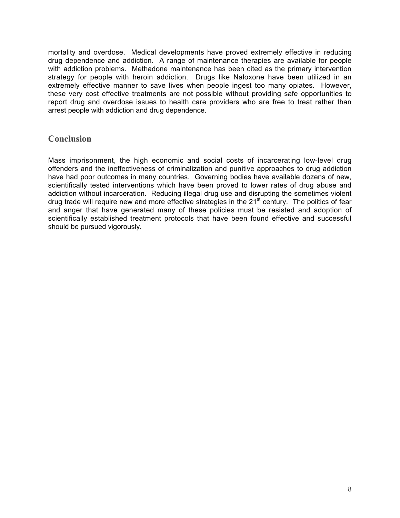mortality and overdose. Medical developments have proved extremely effective in reducing drug dependence and addiction. A range of maintenance therapies are available for people with addiction problems. Methadone maintenance has been cited as the primary intervention strategy for people with heroin addiction. Drugs like Naloxone have been utilized in an extremely effective manner to save lives when people ingest too many opiates. However, these very cost effective treatments are not possible without providing safe opportunities to report drug and overdose issues to health care providers who are free to treat rather than arrest people with addiction and drug dependence.

### **Conclusion**

Mass imprisonment, the high economic and social costs of incarcerating low-level drug offenders and the ineffectiveness of criminalization and punitive approaches to drug addiction have had poor outcomes in many countries. Governing bodies have available dozens of new, scientifically tested interventions which have been proved to lower rates of drug abuse and addiction without incarceration. Reducing illegal drug use and disrupting the sometimes violent drug trade will require new and more effective strategies in the  $21<sup>st</sup>$  century. The politics of fear and anger that have generated many of these policies must be resisted and adoption of scientifically established treatment protocols that have been found effective and successful should be pursued vigorously.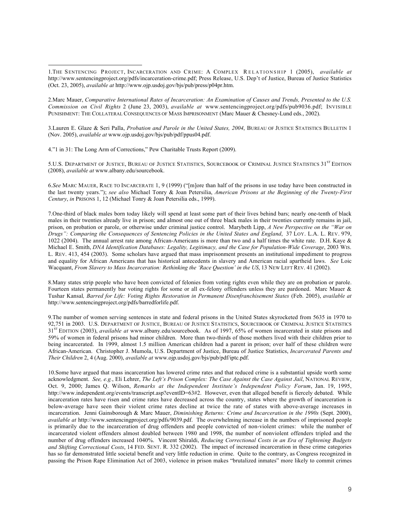2.Marc Mauer, *Comparative International Rates of Incarceration: An Examination of Causes and Trends, Presented to the U.S. Commission on Civil Rights* 2 (June 23, 2003), *available at* www.sentencingproject.org/pdfs/pub9036.pdf; INVISIBLE PUNISHMENT: THE COLLATERAL CONSEQUENCES OF MASS IMPRISONMENT (Marc Mauer & Chesney-Lund eds., 2002).

3.Lauren E. Glaze & Seri Palla, *Probation and Parole in the United States, 2004*, BUREAU OF JUSTICE STATISTICS BULLETIN 1 (Nov. 2005), *available at* www.ojp.usdoj.gov/bjs/pub/pdf/ppus04.pdf.

4."1 in 31: The Long Arm of Corrections," Pew Charitable Trusts Report (2009).

l

5.U.S. DEPARTMENT OF JUSTICE, BUREAU OF JUSTICE STATISTICS, SOURCEBOOK OF CRIMINAL JUSTICE STATISTICS 31<sup>ST</sup> EDITION (2008), *available at* www.albany.edu/sourcebook.

6.*See* MARC MAUER, RACE TO INCARCERATE 1, 9 (1999) ("[m]ore than half of the prisons in use today have been constructed in the last twenty years."); *see also* Michael Tonry & Joan Petersilia, *American Prisons at the Beginning of the Twenty-First Century*, *in* PRISONS 1, 12 (Michael Tonry & Joan Petersilia eds., 1999).

7.One-third of black males born today likely will spend at least some part of their lives behind bars; nearly one-tenth of black males in their twenties already live in prison; and almost one out of three black males in their twenties currently remains in jail, prison, on probation or parole, or otherwise under criminal justice control. Marybeth Lipp, *A New Perspective on the "War on Drugs": Comparing the Consequences of Sentencing Policies in the United States and England*, 37 LOY. L.A. L. REV. 979, 1022 (2004). The annual arrest rate among African-Americans is more than two and a half times the white rate. D.H. Kaye  $\&$ Michael E. Smith, *DNA Identification Databases: Legality, Legitimacy, and the Case for Population-Wide Coverage*, 2003 WIS. L. REV. 413, 454 (2003). Some scholars have argued that mass imprisonment presents an institutional impediment to progress and equality for African Americans that has historical antecedents in slavery and American racial apartheid laws. *See* Loic Wacquant, *From Slavery to Mass Incarceration: Rethinking the 'Race Question' in the US*, 13 NEW LEFT REV. 41 (2002).

8.Many states strip people who have been convicted of felonies from voting rights even while they are on probation or parole. Fourteen states permanently bar voting rights for some or all ex-felony offenders unless they are pardoned. Marc Mauer  $\&$ Tushar Kansal*, Barred for Life: Voting Rights Restoration in Permanent Disenfranchisement States* (Feb. 2005), *available at* http://www.sentencingproject.org/pdfs/barredforlife.pdf.

9.The number of women serving sentences in state and federal prisons in the United States skyrocketed from 5635 in 1970 to 92,751 in 2003. U.S. DEPARTMENT OF JUSTICE, BUREAU OF JUSTICE STATISTICS, SOURCEBOOK OF CRIMINAL JUSTICE STATISTICS 31ST EDITION (2003), *available at* www.albany.edu/sourcebook. As of 1997, 65% of women incarcerated in state prisons and 59% of women in federal prisons had minor children. More than two-thirds of those mothers lived with their children prior to being incarcerated. In 1999, almost 1.5 million American children had a parent in prison; over half of these children were African-American. Christopher J. Mumola, U.S. Department of Justice, Bureau of Justice Statistics, *Incarcerated Parents and Their Children* 2, 4 (Aug. 2000), *available at* www.ojp.usdoj.gov/bjs/pub/pdf/iptc.pdf.

10.Some have argued that mass incarceration has lowered crime rates and that reduced crime is a substantial upside worth some acknowledgment. *See, e.g.*, Eli Lehrer, *The Left's Prison Complex: The Case Against the Case Against Jail*, NATIONAL REVIEW, Oct. 9, 2000; James Q. Wilson, *Remarks at the Independent Institute's Independent Policy Forum*, Jan. 19, 1995, http://www.independent.org/events/transcript.asp?eventID=63#2. However, even that alleged benefit is fiercely debated. While incarceration rates have risen and crime rates have decreased across the country, states where the growth of incarceration is below-average have seen their violent crime rates decline at twice the rate of states with above-average increases in incarceration. Jenni Gainsborough & Marc Mauer, *Diminishing Returns: Crime and Incarceration in the 1990s* (Sept. 2000), *available at* http://www.sentencingproject.org/pdfs/9039.pdf. The overwhelming increase in the numbers of imprisoned people is primarily due to the incarceration of drug offenders and people convicted of non-violent crimes: while the number of incarcerated violent offenders almost doubled between 1980 and 1998, the number of nonviolent offenders tripled and the number of drug offenders increased 1040%. Vincent Shiraldi, *Reducing Correctional Costs in an Era of Tightening Budgets and Shifting Correctional Costs*, 14 FED. SENT. R. 332 (2002). The impact of increased incarceration in these crime categories has so far demonstrated little societal benefit and very little reduction in crime. Quite to the contrary, as Congress recognized in passing the Prison Rape Elimination Act of 2003, violence in prison makes "brutalized inmates" more likely to commit crimes

<sup>1.</sup>THE SENTENCING PROJECT, INCARCERATION AND CRIME: A COMPLEX R ELATIONSHIP 1 (2005), *available at* http://www.sentencingproject.org/pdfs/incarceration-crime.pdf; Press Release, U.S. Dep't of Justice, Bureau of Justice Statistics (Oct. 23, 2005), *available at* http://www.ojp.usdoj.gov/bjs/pub/press/p04pr.htm.